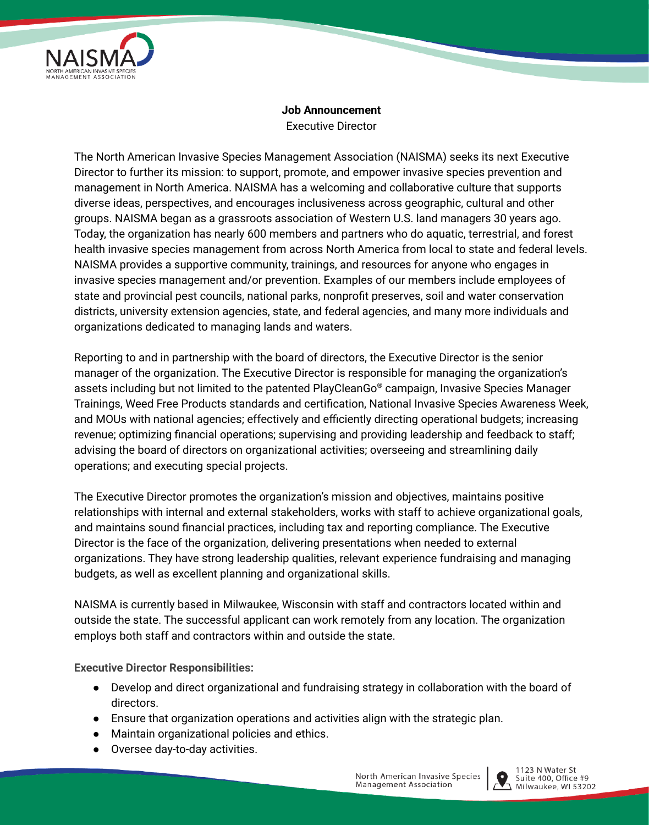

## **Job Announcement** Executive Director

The North American Invasive Species Management Association (NAISMA) seeks its next Executive Director to further its mission: to support, promote, and empower invasive species prevention and management in North America. NAISMA has a welcoming and collaborative culture that supports diverse ideas, perspectives, and encourages inclusiveness across geographic, cultural and other groups. NAISMA began as a grassroots association of Western U.S. land managers 30 years ago. Today, the organization has nearly 600 members and partners who do aquatic, terrestrial, and forest health invasive species management from across North America from local to state and federal levels. NAISMA provides a supportive community, trainings, and resources for anyone who engages in invasive species management and/or prevention. Examples of our members include employees of state and provincial pest councils, national parks, nonprofit preserves, soil and water conservation districts, university extension agencies, state, and federal agencies, and many more individuals and organizations dedicated to managing lands and waters.

Reporting to and in partnership with the board of directors, the Executive Director is the senior manager of the organization. The Executive Director is responsible for managing the organization's assets including but not limited to the patented PlayCleanGo ® campaign, Invasive Species Manager Trainings, Weed Free Products standards and certification, National Invasive Species Awareness Week, and MOUs with national agencies; effectively and efficiently directing operational budgets; increasing revenue; optimizing financial operations; supervising and providing leadership and feedback to staff; advising the board of directors on organizational activities; overseeing and streamlining daily operations; and executing special projects.

The Executive Director promotes the organization's mission and objectives, maintains positive relationships with internal and external stakeholders, works with staff to achieve organizational goals, and maintains sound financial practices, including tax and reporting compliance. The Executive Director is the face of the organization, delivering presentations when needed to external organizations. They have strong leadership qualities, relevant experience fundraising and managing budgets, as well as excellent planning and organizational skills.

NAISMA is currently based in Milwaukee, Wisconsin with staff and contractors located within and outside the state. The successful applicant can work remotely from any location. The organization employs both staff and contractors within and outside the state.

**Executive Director Responsibilities:**

- Develop and direct organizational and fundraising strategy in collaboration with the board of directors.
- Ensure that organization operations and activities align with the strategic plan.
- Maintain organizational policies and ethics.
- Oversee day-to-day activities.

North American Invasive Species Management Association



1123 N Water St Suite 400, Office #9  $\geq$  Milwaukee, WI 53202